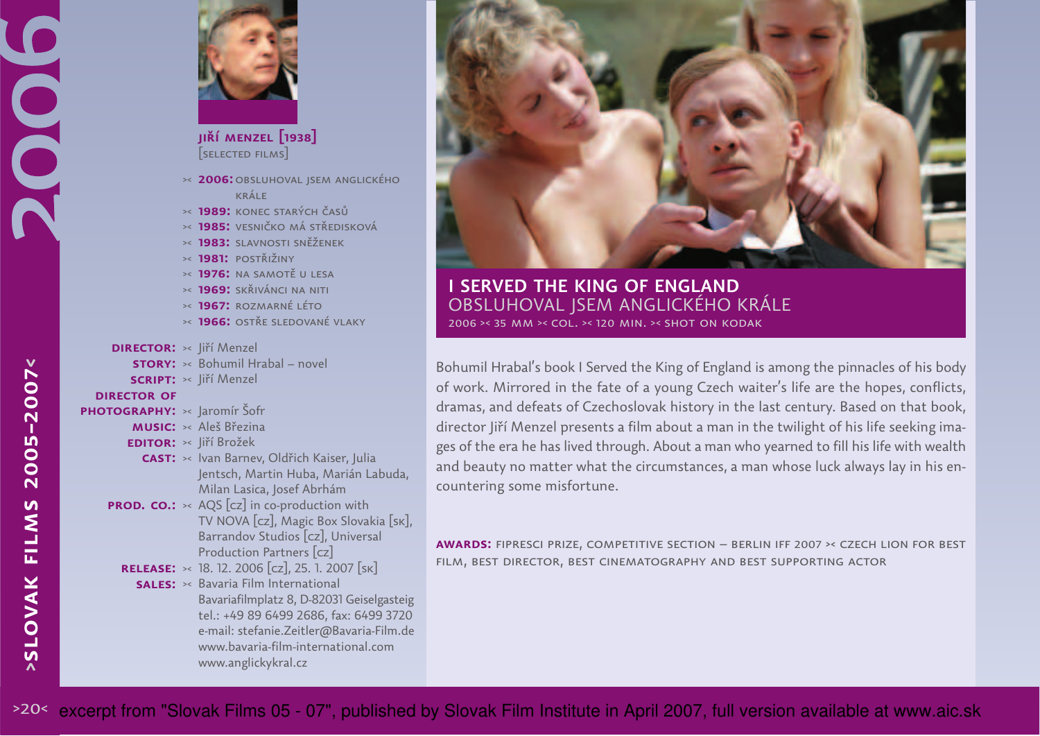

**jiří menzel [1938]**[selected films]

**2006:**obsluhoval jsem anglického><krále

- **1989:** konec starých časů><
- **1985:** vesničko má středisková ><
- **1983:** slavnosti sněženek ><
- **1981:** postřižiny ><
- **1976:** na samotě u lesa ><
- **1969:** skřivánci na niti ><
- **1967:** rozmarné léto ><
- **1966:** ostře sledované vlaky ><

## **DIRECTOR:** >< Jiří Menzel

- **STORY:**  $\times$  Bohumil Hrabal novel
- SCRIPT: >< Jiří Menzel

## **director of**

- PHOTOGRAPHY**:** >< Jaromír Šofr
	- **MUSIC:** >< Aleš Březina
	- **EDITOR:** >< Jiří Brožek
	- **CAST:**  $\times$  Ivan Barnev, Oldřich Kaiser, Julia Jentsch, Martin Huba, Marián Labuda,Milan Lasica, Josef Abrhám
	- **PROD. CO.:**  $\times$  AQS [cz] in co-production with TV NOVA [cz], Magic Box Slovakia [sk], Barrandov Studios [cz], UniversalProduction Partners [cz]
		- 18. 12. 2006 [cz], 25. 1. 2007 [sk]**release:**><

**SALES:** >< Bavaria Film International Bavariafilmplatz 8, D-82031 Geiselgasteig tel.: +49 89 6499 2686, fax: 6499 3720 e-mail: stefanie.Zeitler@Bavaria-Film.dewww.bavaria-film-international.comwww.anglickykral.cz



**<sup>I</sup> SERVED THE KING OF ENGLAND**  OBSLUHOVAL JSEM ANGLICKÉHO KRÁLE2006 >< 35 mm >< col. >< 120 min. >< shot on kodak

Bohumil Hrabal's book I Served the King of England is among the pinnacles of his body of work. Mirrored in the fate of a young Czech waiter's life are the hopes, conflicts, dramas, and defeats of Czechoslovak history in the last century. Based on that book, director Jiří Menzel presents a film about a man in the twilight of his life seeking images of the era he has lived through. About a man who yearned to fill his life with wealth and beauty no matter what the circumstances, a man whose luck always lay in his encountering some misfortune.

**awards:** fipresci prize, competitive section – berlin iff 2007 ›‹ czech lion for bestfilm, best director, best cinematography and best supporting actor

**>slovak films 2005–2007<**

**SLOVAK FILMS** 

2005-2007<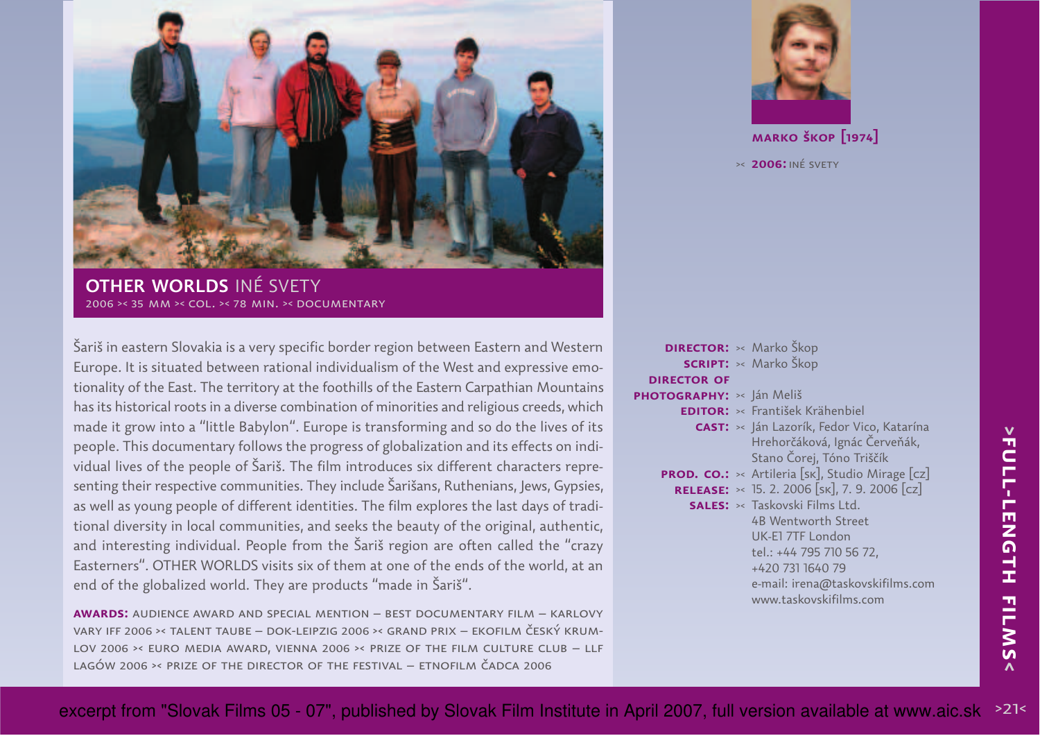

**OTHER WORLDS** INÉ SVETY2006 >< 35 mm >< col. >< 78 min. >< documentary

Šariš in eastern Slovakia is a very specific border region between Eastern and Western Europe. It is situated between rational individualism of the West and expressive emotionality of the East. The territory at the foothills of the Eastern Carpathian Mountainshas its historical roots in a diverse combination of minorities and religious creeds, which made it grow into a "little Babylon". Europe is transforming and so do the lives of its people. This documentary follows the progress of globalization and its effects on individual lives of the people of Šariš. The film introduces six different characters representing their respective communities. They include Šarišans, Ruthenians, Jews, Gypsies, as well as young people of different identities. The film explores the last days of traditional diversity in local communities, and seeks the beauty of the original, authentic, and interesting individual. People from the Šariš region are often called the "crazy Easterners". OTHER WORLDS visits six of them at one of the ends of the world, at anend of the globalized world. They are products "made in Šariš".

**awards:** audience award and special mention – best documentary film – karlovy vary iff 2006 ›‹ talent taube – dok-leipzig 2006 ›‹ grand prix – ekofilm český krum-LOV 2006 > EURO MEDIA AWARD, VIENNA 2006 > PRIZE OF THE FILM CULTURE CLUB - LLF lagów 2006 ›‹ prize of the director of the festival – etnofilm čadca 2006



**marko škop [1974]**

>< **2006:**iné svety

| <b>DIRECTOR:</b> >< Marko Škop |                                                               |
|--------------------------------|---------------------------------------------------------------|
|                                | <b>SCRIPT:</b> >< Marko Škop                                  |
| <b>DIRECTOR OF</b>             |                                                               |
| PHOTOGRAPHY: » Ján Meliš       |                                                               |
|                                | <b>EDITOR:</b> >< František Krähenbiel                        |
|                                | CAST: >< Ján Lazorík, Fedor Vico, Katarína                    |
|                                | Hrehorčáková, Ignác Červeňák,                                 |
|                                | Stano Čorej, Tóno Triščík                                     |
|                                | <b>PROD. CO.:</b> $\times$ Artileria [sk], Studio Mirage [cz] |
|                                | <b>RELEASE:</b> $\times$ 15. 2. 2006 [SK], 7. 9. 2006 [cz]    |
|                                | <b>SALES:</b> >< Taskovski Films Ltd.                         |
|                                | 4B Wentworth Street                                           |
|                                | UK-E1 7TF London                                              |
|                                | tel.: +44 795 710 56 72,                                      |
|                                | +420 731 1640 79                                              |
|                                | e-mail: irena@taskovskifilms.com                              |
|                                | www.taskovskifilms.com                                        |
|                                |                                                               |